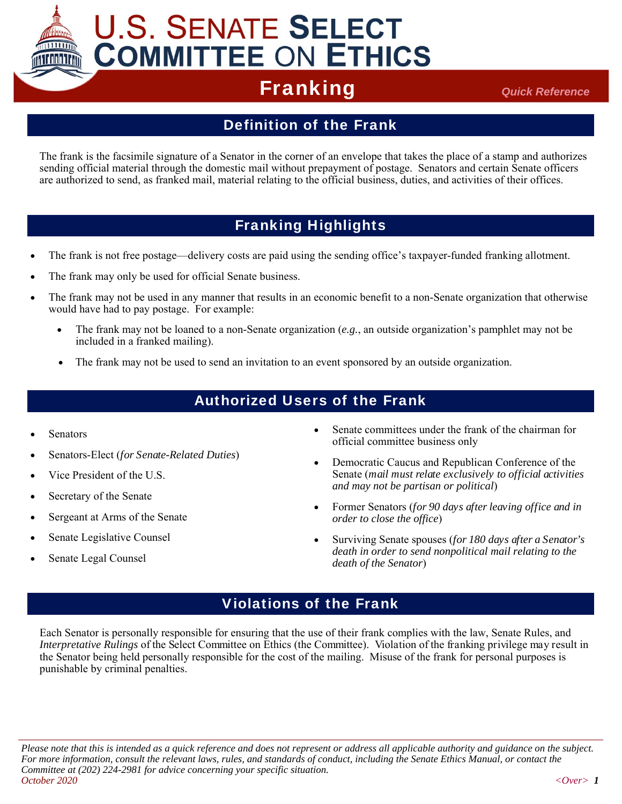

# **U.S. SENATE SELECT COMMITTEE ON ETHICS**

## **Franking** *Quick Reference*

### Definition of the Frank

The frank is the facsimile signature of a Senator in the corner of an envelope that takes the place of a stamp and authorizes sending official material through the domestic mail without prepayment of postage. Senators and certain Senate officers are authorized to send, as franked mail, material relating to the official business, duties, and activities of their offices.

### Franking Highlights

- The frank is not free postage—delivery costs are paid using the sending office's taxpayer-funded franking allotment.
- The frank may only be used for official Senate business.
- The frank may not be used in any manner that results in an economic benefit to a non-Senate organization that otherwise would have had to pay postage. For example:
	- The frank may not be loaned to a non-Senate organization (*e.g.*, an outside organization's pamphlet may not be included in a franked mailing).
	- The frank may not be used to send an invitation to an event sponsored by an outside organization.

#### Authorized Users of the Frank

- Senators
- Senators-Elect (*for Senate-Related Duties*)
- Vice President of the U.S.
- Secretary of the Senate
- Sergeant at Arms of the Senate
- Senate Legislative Counsel
- Senate Legal Counsel
- Senate committees under the frank of the chairman for official committee business only
- Democratic Caucus and Republican Conference of the Senate (*mail must relate exclusively to official activities and may not be partisan or political*)
- Former Senators (*for 90 days after leaving office and in order to close the office*)
- Surviving Senate spouses (*for 180 days after a Senator's death in order to send nonpolitical mail relating to the death of the Senator*)

#### Violations of the Frank

Each Senator is personally responsible for ensuring that the use of their frank complies with the law, Senate Rules, and *Interpretative Rulings* of the Select Committee on Ethics (the Committee). Violation of the franking privilege may result in the Senator being held personally responsible for the cost of the mailing. Misuse of the frank for personal purposes is punishable by criminal penalties.

*Please note that this is intended as a quick reference and does not represent or address all applicable authority and guidance on the subject. For more information, consult the relevant laws, rules, and standards of conduct, including the Senate Ethics Manual, or contact the Committee at (202) 224-2981 for advice concerning your specific situation. October 2020 <Over> 1*